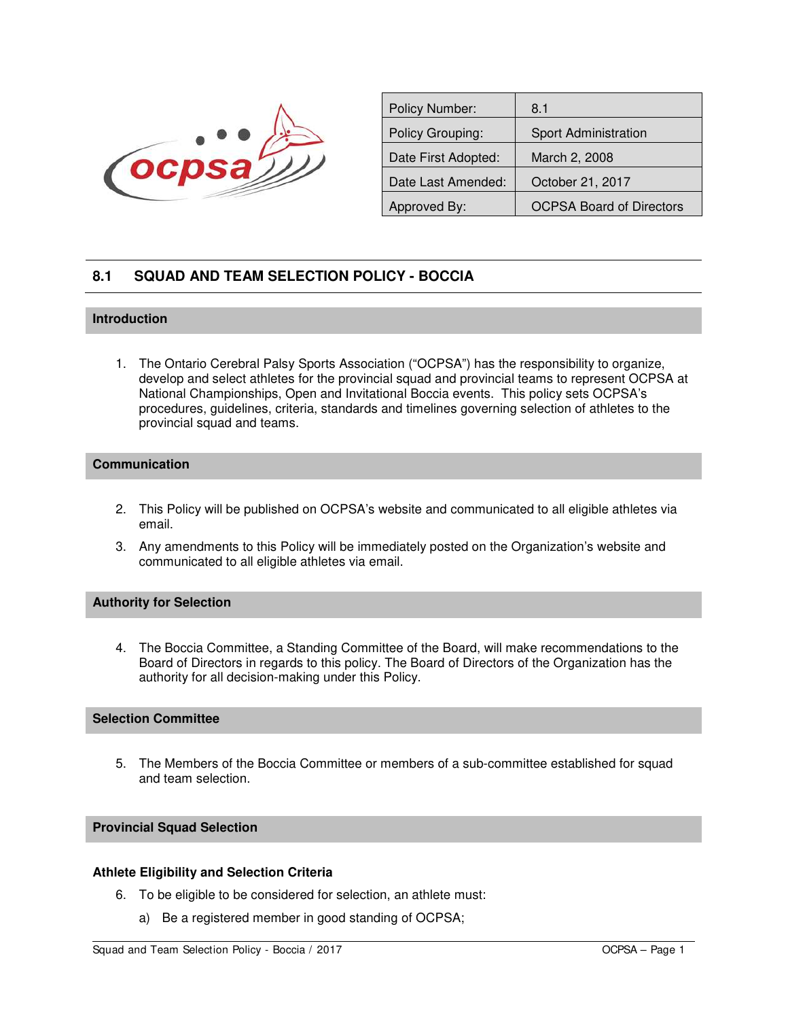

| <b>Policy Number:</b> | 8.1                             |  |
|-----------------------|---------------------------------|--|
| Policy Grouping:      | Sport Administration            |  |
| Date First Adopted:   | March 2, 2008                   |  |
| Date Last Amended:    | October 21, 2017                |  |
| Approved By:          | <b>OCPSA Board of Directors</b> |  |
|                       |                                 |  |

# **8.1 SQUAD AND TEAM SELECTION POLICY - BOCCIA**

# **Introduction**

1. The Ontario Cerebral Palsy Sports Association ("OCPSA") has the responsibility to organize, develop and select athletes for the provincial squad and provincial teams to represent OCPSA at National Championships, Open and Invitational Boccia events. This policy sets OCPSA's procedures, guidelines, criteria, standards and timelines governing selection of athletes to the provincial squad and teams.

# **Communication**

- 2. This Policy will be published on OCPSA's website and communicated to all eligible athletes via email.
- 3. Any amendments to this Policy will be immediately posted on the Organization's website and communicated to all eligible athletes via email.

# **Authority for Selection**

4. The Boccia Committee, a Standing Committee of the Board, will make recommendations to the Board of Directors in regards to this policy. The Board of Directors of the Organization has the authority for all decision-making under this Policy.

# **Selection Committee**

5. The Members of the Boccia Committee or members of a sub-committee established for squad and team selection.

#### **Provincial Squad Selection**

#### **Athlete Eligibility and Selection Criteria**

- 6. To be eligible to be considered for selection, an athlete must:
	- a) Be a registered member in good standing of OCPSA;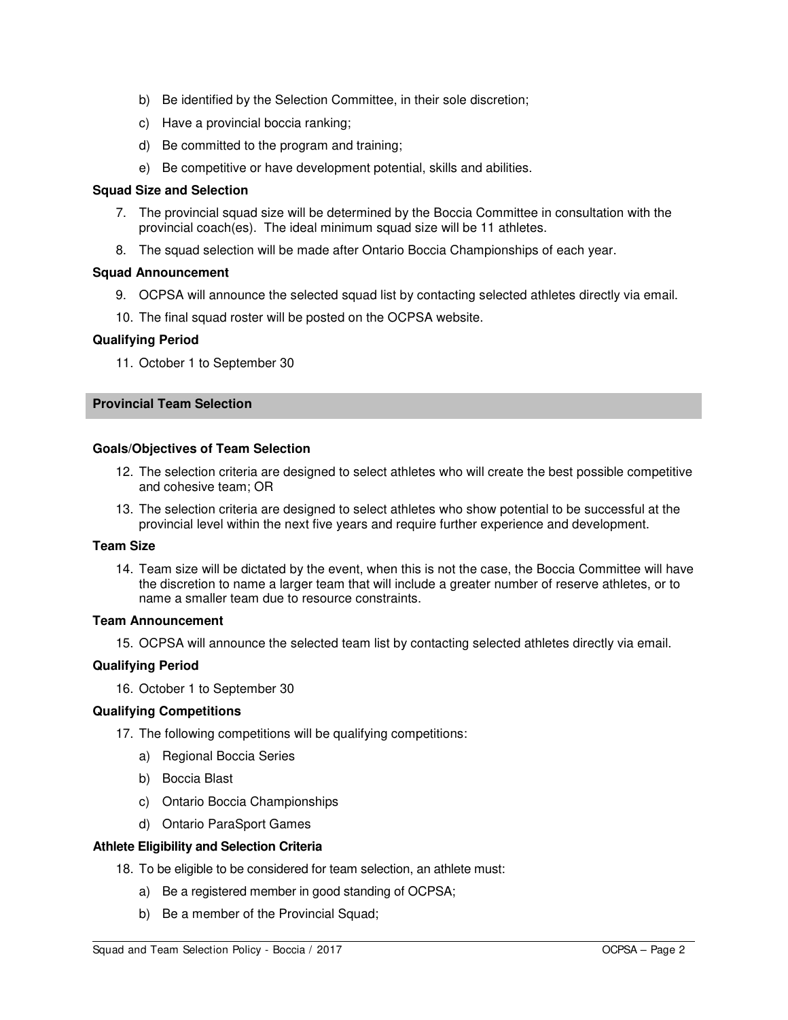- b) Be identified by the Selection Committee, in their sole discretion;
- c) Have a provincial boccia ranking;
- d) Be committed to the program and training;
- e) Be competitive or have development potential, skills and abilities.

## **Squad Size and Selection**

- 7. The provincial squad size will be determined by the Boccia Committee in consultation with the provincial coach(es). The ideal minimum squad size will be 11 athletes.
- 8. The squad selection will be made after Ontario Boccia Championships of each year.

## **Squad Announcement**

- 9. OCPSA will announce the selected squad list by contacting selected athletes directly via email.
- 10. The final squad roster will be posted on the OCPSA website.

## **Qualifying Period**

11. October 1 to September 30

# **Provincial Team Selection**

#### **Goals/Objectives of Team Selection**

- 12. The selection criteria are designed to select athletes who will create the best possible competitive and cohesive team; OR
- 13. The selection criteria are designed to select athletes who show potential to be successful at the provincial level within the next five years and require further experience and development.

# **Team Size**

14. Team size will be dictated by the event, when this is not the case, the Boccia Committee will have the discretion to name a larger team that will include a greater number of reserve athletes, or to name a smaller team due to resource constraints.

## **Team Announcement**

15. OCPSA will announce the selected team list by contacting selected athletes directly via email.

## **Qualifying Period**

16. October 1 to September 30

## **Qualifying Competitions**

- 17. The following competitions will be qualifying competitions:
	- a) Regional Boccia Series
	- b) Boccia Blast
	- c) Ontario Boccia Championships
	- d) Ontario ParaSport Games

## **Athlete Eligibility and Selection Criteria**

- 18. To be eligible to be considered for team selection, an athlete must:
	- a) Be a registered member in good standing of OCPSA;
	- b) Be a member of the Provincial Squad;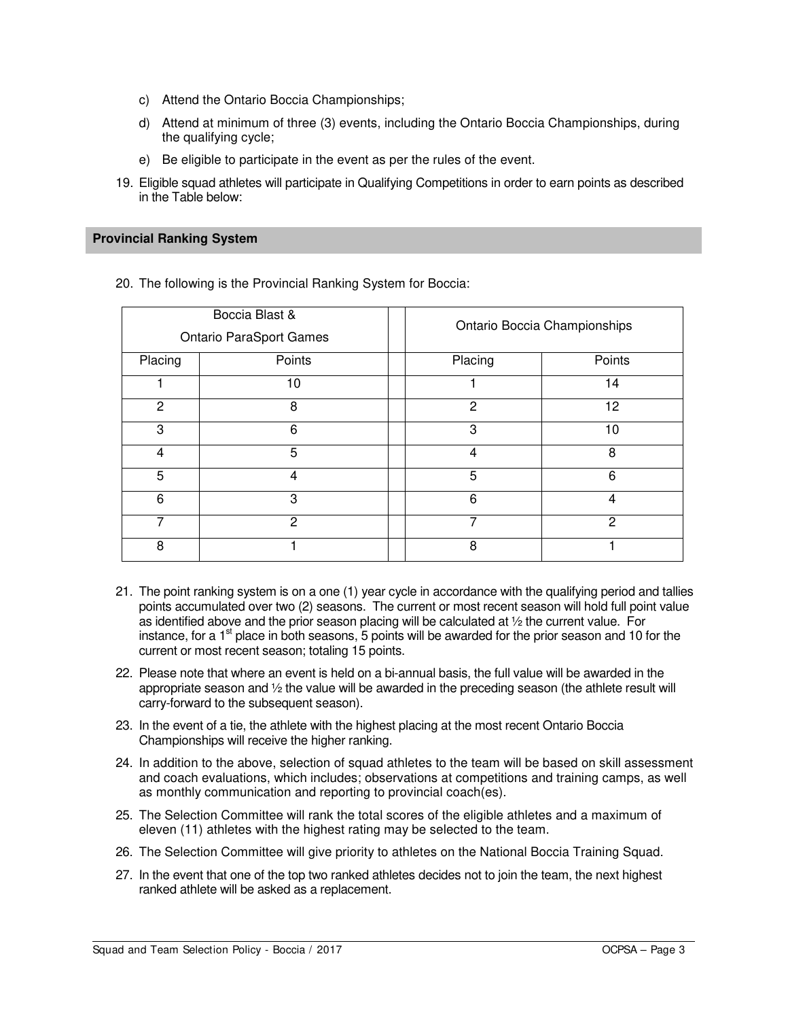- c) Attend the Ontario Boccia Championships;
- d) Attend at minimum of three (3) events, including the Ontario Boccia Championships, during the qualifying cycle;
- e) Be eligible to participate in the event as per the rules of the event.
- 19. Eligible squad athletes will participate in Qualifying Competitions in order to earn points as described in the Table below:

## **Provincial Ranking System**

20. The following is the Provincial Ranking System for Boccia:

| Boccia Blast &<br><b>Ontario ParaSport Games</b> |               | Ontario Boccia Championships |        |
|--------------------------------------------------|---------------|------------------------------|--------|
| Placing                                          | Points        | Placing                      | Points |
|                                                  | 10            |                              | 14     |
| $\mathfrak{p}$                                   | 8             | $\mathcal{P}$                | 12     |
| 3                                                | 6             | 3                            | 10     |
| $\overline{4}$                                   | 5             | $\overline{4}$               | 8      |
| 5                                                | 4             | 5                            | 6      |
| 6                                                | 3             | 6                            | 4      |
| 7                                                | $\mathcal{P}$ | $\overline{7}$               | 2      |
| 8                                                |               | 8                            |        |

- 21. The point ranking system is on a one (1) year cycle in accordance with the qualifying period and tallies points accumulated over two (2) seasons. The current or most recent season will hold full point value as identified above and the prior season placing will be calculated at ½ the current value. For instance, for a  $1<sup>st</sup>$  place in both seasons, 5 points will be awarded for the prior season and 10 for the current or most recent season; totaling 15 points.
- 22. Please note that where an event is held on a bi-annual basis, the full value will be awarded in the appropriate season and ½ the value will be awarded in the preceding season (the athlete result will carry-forward to the subsequent season).
- 23. In the event of a tie, the athlete with the highest placing at the most recent Ontario Boccia Championships will receive the higher ranking.
- 24. In addition to the above, selection of squad athletes to the team will be based on skill assessment and coach evaluations, which includes; observations at competitions and training camps, as well as monthly communication and reporting to provincial coach(es).
- 25. The Selection Committee will rank the total scores of the eligible athletes and a maximum of eleven (11) athletes with the highest rating may be selected to the team.
- 26. The Selection Committee will give priority to athletes on the National Boccia Training Squad.
- 27. In the event that one of the top two ranked athletes decides not to join the team, the next highest ranked athlete will be asked as a replacement.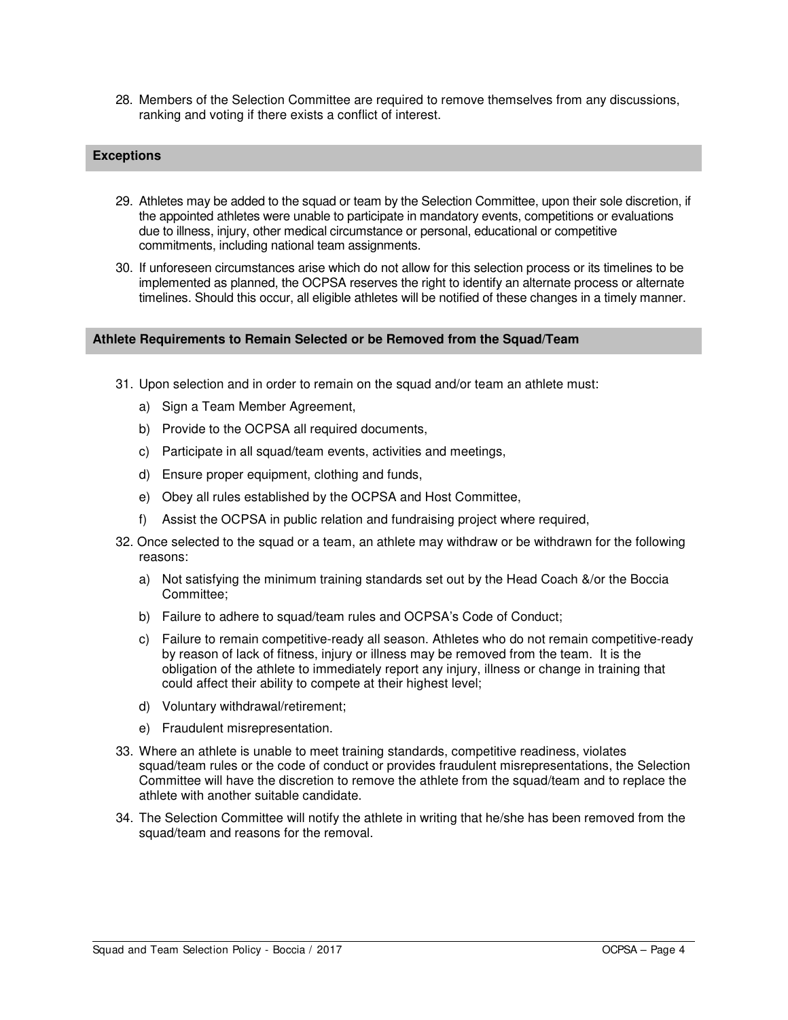28. Members of the Selection Committee are required to remove themselves from any discussions, ranking and voting if there exists a conflict of interest.

# **Exceptions**

- 29. Athletes may be added to the squad or team by the Selection Committee, upon their sole discretion, if the appointed athletes were unable to participate in mandatory events, competitions or evaluations due to illness, injury, other medical circumstance or personal, educational or competitive commitments, including national team assignments.
- 30. If unforeseen circumstances arise which do not allow for this selection process or its timelines to be implemented as planned, the OCPSA reserves the right to identify an alternate process or alternate timelines. Should this occur, all eligible athletes will be notified of these changes in a timely manner.

#### **Athlete Requirements to Remain Selected or be Removed from the Squad/Team**

- 31. Upon selection and in order to remain on the squad and/or team an athlete must:
	- a) Sign a Team Member Agreement,
	- b) Provide to the OCPSA all required documents,
	- c) Participate in all squad/team events, activities and meetings,
	- d) Ensure proper equipment, clothing and funds,
	- e) Obey all rules established by the OCPSA and Host Committee,
	- f) Assist the OCPSA in public relation and fundraising project where required,
- 32. Once selected to the squad or a team, an athlete may withdraw or be withdrawn for the following reasons:
	- a) Not satisfying the minimum training standards set out by the Head Coach &/or the Boccia Committee;
	- b) Failure to adhere to squad/team rules and OCPSA's Code of Conduct;
	- c) Failure to remain competitive-ready all season. Athletes who do not remain competitive-ready by reason of lack of fitness, injury or illness may be removed from the team. It is the obligation of the athlete to immediately report any injury, illness or change in training that could affect their ability to compete at their highest level;
	- d) Voluntary withdrawal/retirement;
	- e) Fraudulent misrepresentation.
- 33. Where an athlete is unable to meet training standards, competitive readiness, violates squad/team rules or the code of conduct or provides fraudulent misrepresentations, the Selection Committee will have the discretion to remove the athlete from the squad/team and to replace the athlete with another suitable candidate.
- 34. The Selection Committee will notify the athlete in writing that he/she has been removed from the squad/team and reasons for the removal.